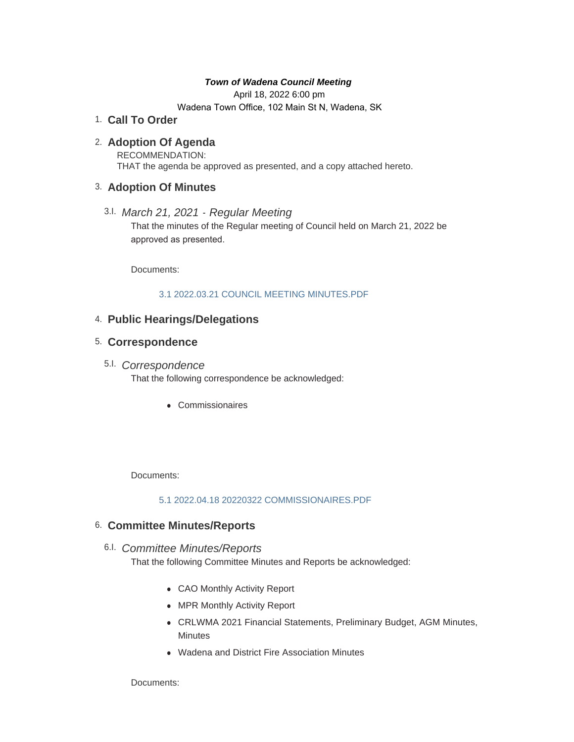## *Town of Wadena Council Meeting*

April 18, 2022 6:00 pm

Wadena Town Office, 102 Main St N, Wadena, SK

**Call To Order** 1.

# **Adoption Of Agenda** 2.

RECOMMENDATION: THAT the agenda be approved as presented, and a copy attached hereto.

# **Adoption Of Minutes** 3.

*March 21, 2021 - Regular Meeting* 3.I. That the minutes of the Regular meeting of Council held on March 21, 2022 be approved as presented.

Documents:

## [3.1 2022.03.21 COUNCIL MEETING MINUTES.PDF](http://townofwadena.com/AgendaCenter/ViewFile/Item/3537?fileID=4241)

# **Public Hearings/Delegations** 4.

# **Correspondence** 5.

# *Correspondence* 5.I.

That the following correspondence be acknowledged:

• Commissionaires

Documents:

## [5.1 2022.04.18 20220322 COMMISSIONAIRES.PDF](http://townofwadena.com/AgendaCenter/ViewFile/Item/3541?fileID=4216)

# **Committee Minutes/Reports** 6.

*Committee Minutes/Reports* 6.I.

That the following Committee Minutes and Reports be acknowledged:

- CAO Monthly Activity Report
- MPR Monthly Activity Report
- CRLWMA 2021 Financial Statements, Preliminary Budget, AGM Minutes, **Minutes**
- Wadena and District Fire Association Minutes

Documents: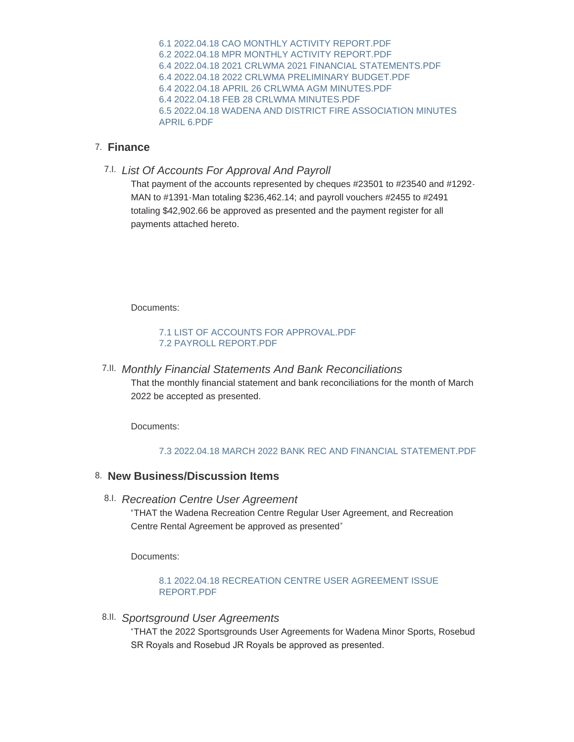[6.1 2022.04.18 CAO MONTHLY ACTIVITY REPORT.PDF](http://townofwadena.com/AgendaCenter/ViewFile/Item/3543?fileID=4206) [6.2 2022.04.18 MPR MONTHLY ACTIVITY REPORT.PDF](http://townofwadena.com/AgendaCenter/ViewFile/Item/3543?fileID=4207) [6.4 2022.04.18 2021 CRLWMA 2021 FINANCIAL STATEMENTS.PDF](http://townofwadena.com/AgendaCenter/ViewFile/Item/3543?fileID=4208) [6.4 2022.04.18 2022 CRLWMA PRELIMINARY BUDGET.PDF](http://townofwadena.com/AgendaCenter/ViewFile/Item/3543?fileID=4209) [6.4 2022.04.18 APRIL 26 CRLWMA AGM MINUTES.PDF](http://townofwadena.com/AgendaCenter/ViewFile/Item/3543?fileID=4210) [6.4 2022.04.18 FEB 28 CRLWMA MINUTES.PDF](http://townofwadena.com/AgendaCenter/ViewFile/Item/3543?fileID=4211) [6.5 2022.04.18 WADENA AND DISTRICT FIRE ASSOCIATION MINUTES](http://townofwadena.com/AgendaCenter/ViewFile/Item/3543?fileID=4212)  APRIL 6.PDF

# **Finance** 7.

*List Of Accounts For Approval And Payroll* 7.I.

That payment of the accounts represented by cheques #23501 to #23540 and #1292- MAN to #1391-Man totaling \$236,462.14; and payroll vouchers #2455 to #2491 totaling \$42,902.66 be approved as presented and the payment register for all payments attached hereto.

Documents:

### [7.1 LIST OF ACCOUNTS FOR APPROVAL.PDF](http://townofwadena.com/AgendaCenter/ViewFile/Item/3545?fileID=4239) [7.2 PAYROLL REPORT.PDF](http://townofwadena.com/AgendaCenter/ViewFile/Item/3545?fileID=4240)

*Monthly Financial Statements And Bank Reconciliations* 7.II. That the monthly financial statement and bank reconciliations for the month of March 2022 be accepted as presented.

Documents:

#### [7.3 2022.04.18 MARCH 2022 BANK REC AND FINANCIAL STATEMENT.PDF](http://townofwadena.com/AgendaCenter/ViewFile/Item/3546?fileID=4243)

# **New Business/Discussion Items** 8.

*Recreation Centre User Agreement* 8.I.

"THAT the Wadena Recreation Centre Regular User Agreement, and Recreation Centre Rental Agreement be approved as presented"

Documents:

#### [8.1 2022.04.18 RECREATION CENTRE USER AGREEMENT ISSUE](http://townofwadena.com/AgendaCenter/ViewFile/Item/3553?fileID=4213)  REPORT.PDF

*Sportsground User Agreements* 8.II.

"THAT the 2022 Sportsgrounds User Agreements for Wadena Minor Sports, Rosebud SR Royals and Rosebud JR Royals be approved as presented.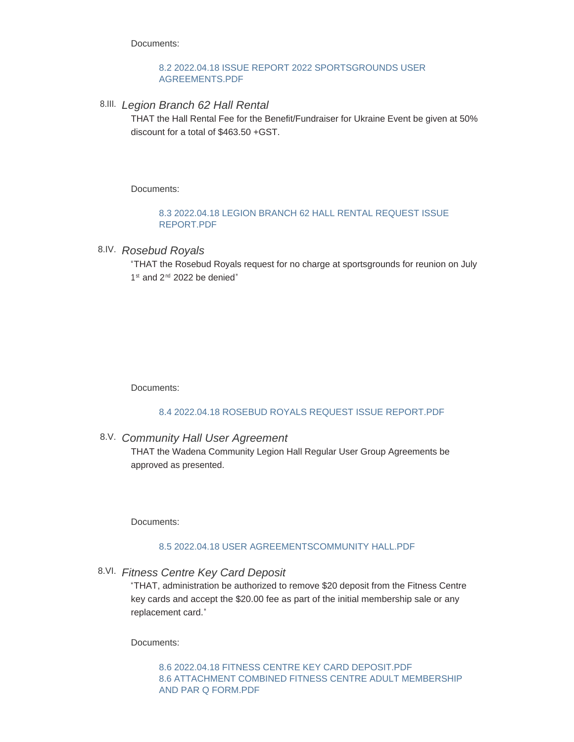Documents:

### [8.2 2022.04.18 ISSUE REPORT 2022 SPORTSGROUNDS USER](http://townofwadena.com/AgendaCenter/ViewFile/Item/3548?fileID=4217)  AGREEMENTS.PDF

*Legion Branch 62 Hall Rental* 8.III.

THAT the Hall Rental Fee for the Benefit/Fundraiser for Ukraine Event be given at 50% discount for a total of \$463.50 +GST.

Documents:

### [8.3 2022.04.18 LEGION BRANCH 62 HALL RENTAL REQUEST ISSUE](http://townofwadena.com/AgendaCenter/ViewFile/Item/3561?fileID=4218)  REPORT.PDF

# *Rosebud Royals*  8.IV.

"THAT the Rosebud Royals request for no charge at sportsgrounds for reunion on July  $1<sup>st</sup>$  and  $2<sup>nd</sup>$  2022 be denied"

Documents:

## [8.4 2022.04.18 ROSEBUD ROYALS REQUEST ISSUE REPORT.PDF](http://townofwadena.com/AgendaCenter/ViewFile/Item/3549?fileID=4219)

*Community Hall User Agreement* 8.V.

THAT the Wadena Community Legion Hall Regular User Group Agreements be approved as presented.

Documents:

## [8.5 2022.04.18 USER AGREEMENTSCOMMUNITY HALL.PDF](http://townofwadena.com/AgendaCenter/ViewFile/Item/3550?fileID=4220)

*Fitness Centre Key Card Deposit* 8.VI.

"THAT, administration be authorized to remove \$20 deposit from the Fitness Centre key cards and accept the \$20.00 fee as part of the initial membership sale or any replacement card."

Documents:

[8.6 2022.04.18 FITNESS CENTRE KEY CARD DEPOSIT.PDF](http://townofwadena.com/AgendaCenter/ViewFile/Item/3555?fileID=4222) [8.6 ATTACHMENT COMBINED FITNESS CENTRE ADULT MEMBERSHIP](http://townofwadena.com/AgendaCenter/ViewFile/Item/3555?fileID=4223)  AND PAR Q FORM.PDF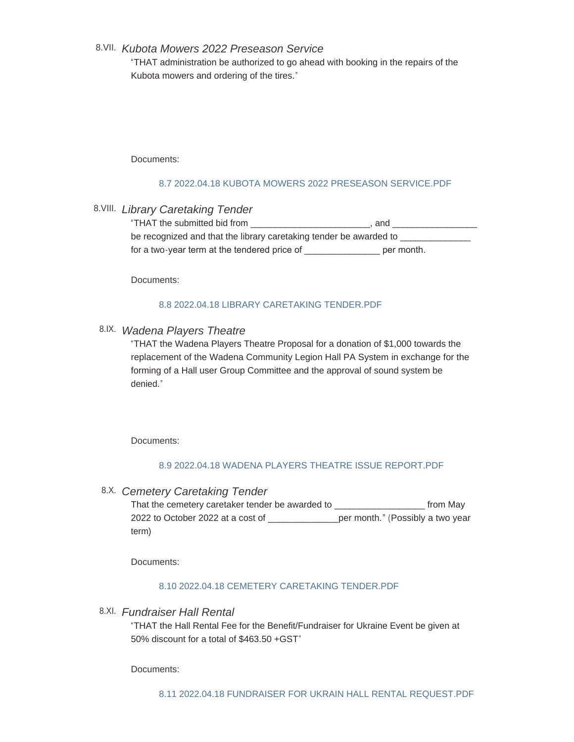## *Kubota Mowers 2022 Preseason Service* 8.VII.

"THAT administration be authorized to go ahead with booking in the repairs of the Kubota mowers and ordering of the tires."

#### Documents:

### [8.7 2022.04.18 KUBOTA MOWERS 2022 PRESEASON SERVICE.PDF](http://townofwadena.com/AgendaCenter/ViewFile/Item/3551?fileID=4224)

*Library Caretaking Tender* 8.VIII.

| "THAT the submitted bid from                                       | . and      |
|--------------------------------------------------------------------|------------|
| be recognized and that the library caretaking tender be awarded to |            |
| for a two-year term at the tendered price of                       | per month. |

Documents:

## [8.8 2022.04.18 LIBRARY CARETAKING TENDER.PDF](http://townofwadena.com/AgendaCenter/ViewFile/Item/3559?fileID=4225)

# *Wadena Players Theatre* 8.IX.

"THAT the Wadena Players Theatre Proposal for a donation of \$1,000 towards the replacement of the Wadena Community Legion Hall PA System in exchange for the forming of a Hall user Group Committee and the approval of sound system be denied."

Documents:

## [8.9 2022.04.18 WADENA PLAYERS THEATRE ISSUE REPORT.PDF](http://townofwadena.com/AgendaCenter/ViewFile/Item/3554?fileID=4226)

*Cemetery Caretaking Tender* 8.X.

That the cemetery caretaker tender be awarded to \_\_\_\_\_\_\_\_\_\_\_\_\_\_\_\_\_\_ from May 2022 to October 2022 at a cost of \_\_\_\_\_\_\_\_\_\_\_\_\_\_per month." (Possibly a two year term)

Documents:

## [8.10 2022.04.18 CEMETERY CARETAKING TENDER.PDF](http://townofwadena.com/AgendaCenter/ViewFile/Item/3558?fileID=4227)

*Fundraiser Hall Rental* 8.XI.

"THAT the Hall Rental Fee for the Benefit/Fundraiser for Ukraine Event be given at 50% discount for a total of \$463.50 +GST"

Documents: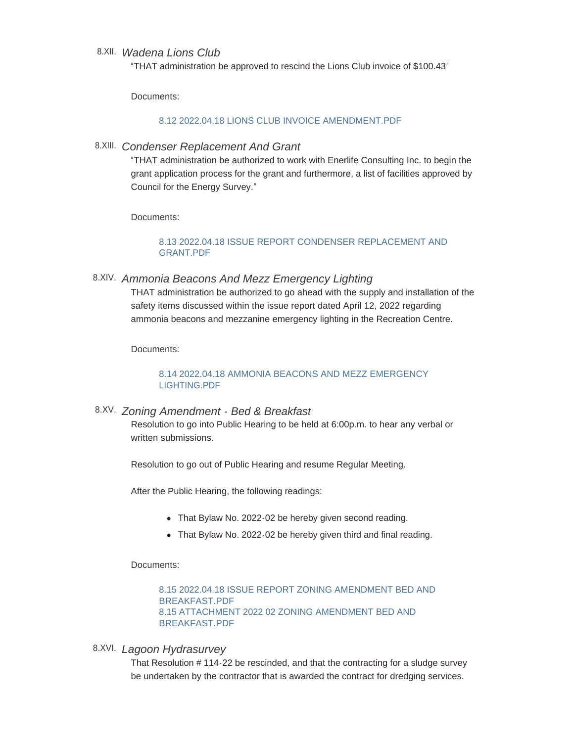## *Wadena Lions Club* 8.XII.

"THAT administration be approved to rescind the Lions Club invoice of \$100.43"

Documents:

#### [8.12 2022.04.18 LIONS CLUB INVOICE AMENDMENT.PDF](http://townofwadena.com/AgendaCenter/ViewFile/Item/3582?fileID=4242)

*Condenser Replacement And Grant* 8.XIII.

"THAT administration be authorized to work with Enerlife Consulting Inc. to begin the grant application process for the grant and furthermore, a list of facilities approved by Council for the Energy Survey."

Documents:

### [8.13 2022.04.18 ISSUE REPORT CONDENSER REPLACEMENT AND](http://townofwadena.com/AgendaCenter/ViewFile/Item/3578?fileID=4230)  GRANT.PDF

*Ammonia Beacons And Mezz Emergency Lighting* 8.XIV.

THAT administration be authorized to go ahead with the supply and installation of the safety items discussed within the issue report dated April 12, 2022 regarding ammonia beacons and mezzanine emergency lighting in the Recreation Centre.

Documents:

### [8.14 2022.04.18 AMMONIA BEACONS AND MEZZ EMERGENCY](http://townofwadena.com/AgendaCenter/ViewFile/Item/3579?fileID=4231)  LIGHTING.PDF

### *Zoning Amendment - Bed & Breakfast* 8.XV.

Resolution to go into Public Hearing to be held at 6:00p.m. to hear any verbal or written submissions.

Resolution to go out of Public Hearing and resume Regular Meeting.

After the Public Hearing, the following readings:

- That Bylaw No. 2022-02 be hereby given second reading.
- That Bylaw No. 2022-02 be hereby given third and final reading.

Documents:

[8.15 2022.04.18 ISSUE REPORT ZONING AMENDMENT BED AND](http://townofwadena.com/AgendaCenter/ViewFile/Item/3478?fileID=4232)  BREAKFAST.PDF [8.15 ATTACHMENT 2022 02 ZONING AMENDMENT BED AND](http://townofwadena.com/AgendaCenter/ViewFile/Item/3478?fileID=4233)  BREAKFAST.PDF

*Lagoon Hydrasurvey* 8.XVI.

That Resolution # 114-22 be rescinded, and that the contracting for a sludge survey be undertaken by the contractor that is awarded the contract for dredging services.